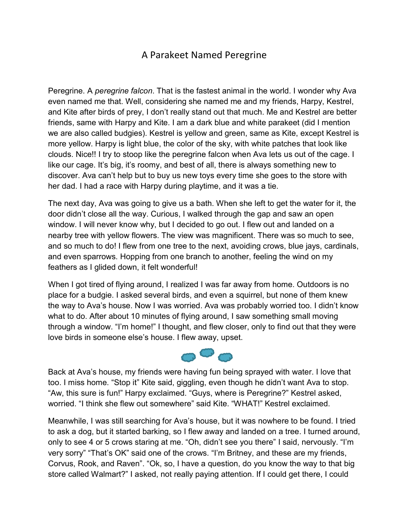## A Parakeet Named Peregrine

Peregrine. A peregrine falcon. That is the fastest animal in the world. I wonder why Ava even named me that. Well, considering she named me and my friends, Harpy, Kestrel, and Kite after birds of prey, I don't really stand out that much. Me and Kestrel are better friends, same with Harpy and Kite. I am a dark blue and white parakeet (did I mention we are also called budgies). Kestrel is yellow and green, same as Kite, except Kestrel is more yellow. Harpy is light blue, the color of the sky, with white patches that look like clouds. Nice!! I try to stoop like the peregrine falcon when Ava lets us out of the cage. I like our cage. It's big, it's roomy, and best of all, there is always something new to discover. Ava can't help but to buy us new toys every time she goes to the store with her dad. I had a race with Harpy during playtime, and it was a tie.

The next day, Ava was going to give us a bath. When she left to get the water for it, the door didn't close all the way. Curious, I walked through the gap and saw an open window. I will never know why, but I decided to go out. I flew out and landed on a nearby tree with yellow flowers. The view was magnificent. There was so much to see, and so much to do! I flew from one tree to the next, avoiding crows, blue jays, cardinals, and even sparrows. Hopping from one branch to another, feeling the wind on my feathers as I glided down, it felt wonderful!

When I got tired of flying around, I realized I was far away from home. Outdoors is no place for a budgie. I asked several birds, and even a squirrel, but none of them knew the way to Ava's house. Now I was worried. Ava was probably worried too. I didn't know what to do. After about 10 minutes of flying around, I saw something small moving through a window. "I'm home!" I thought, and flew closer, only to find out that they were love birds in someone else's house. I flew away, upset.



Back at Ava's house, my friends were having fun being sprayed with water. I love that too. I miss home. "Stop it" Kite said, giggling, even though he didn't want Ava to stop. "Aw, this sure is fun!" Harpy exclaimed. "Guys, where is Peregrine?" Kestrel asked, worried. "I think she flew out somewhere" said Kite. "WHAT!" Kestrel exclaimed.

Meanwhile, I was still searching for Ava's house, but it was nowhere to be found. I tried to ask a dog, but it started barking, so I flew away and landed on a tree. I turned around, only to see 4 or 5 crows staring at me. "Oh, didn't see you there" I said, nervously. "I'm very sorry" "That's OK" said one of the crows. "I'm Britney, and these are my friends, Corvus, Rook, and Raven". "Ok, so, I have a question, do you know the way to that big store called Walmart?" I asked, not really paying attention. If I could get there, I could